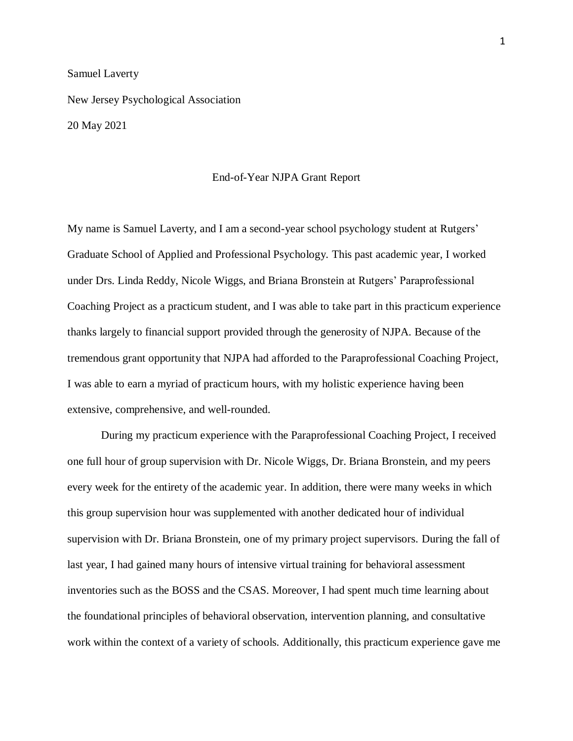## Samuel Laverty

New Jersey Psychological Association 20 May 2021

End-of-Year NJPA Grant Report

My name is Samuel Laverty, and I am a second-year school psychology student at Rutgers' Graduate School of Applied and Professional Psychology. This past academic year, I worked under Drs. Linda Reddy, Nicole Wiggs, and Briana Bronstein at Rutgers' Paraprofessional Coaching Project as a practicum student, and I was able to take part in this practicum experience thanks largely to financial support provided through the generosity of NJPA. Because of the tremendous grant opportunity that NJPA had afforded to the Paraprofessional Coaching Project, I was able to earn a myriad of practicum hours, with my holistic experience having been extensive, comprehensive, and well-rounded.

During my practicum experience with the Paraprofessional Coaching Project, I received one full hour of group supervision with Dr. Nicole Wiggs, Dr. Briana Bronstein, and my peers every week for the entirety of the academic year. In addition, there were many weeks in which this group supervision hour was supplemented with another dedicated hour of individual supervision with Dr. Briana Bronstein, one of my primary project supervisors. During the fall of last year, I had gained many hours of intensive virtual training for behavioral assessment inventories such as the BOSS and the CSAS. Moreover, I had spent much time learning about the foundational principles of behavioral observation, intervention planning, and consultative work within the context of a variety of schools. Additionally, this practicum experience gave me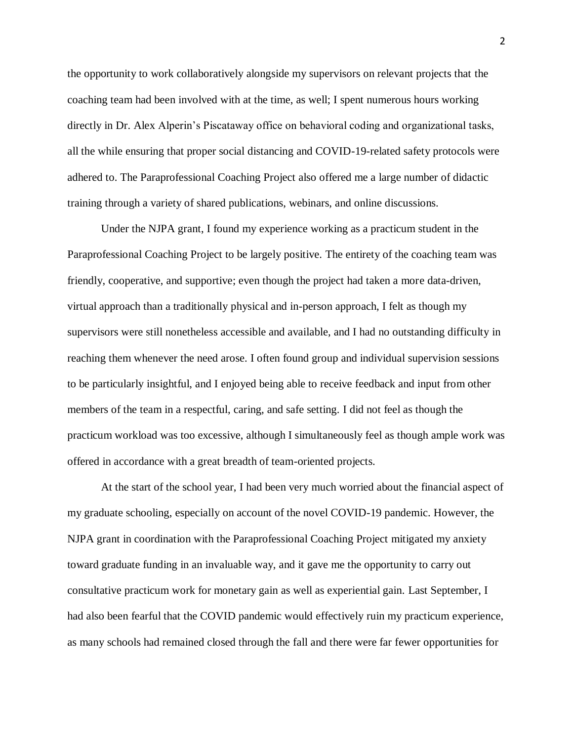the opportunity to work collaboratively alongside my supervisors on relevant projects that the coaching team had been involved with at the time, as well; I spent numerous hours working directly in Dr. Alex Alperin's Piscataway office on behavioral coding and organizational tasks, all the while ensuring that proper social distancing and COVID-19-related safety protocols were adhered to. The Paraprofessional Coaching Project also offered me a large number of didactic training through a variety of shared publications, webinars, and online discussions.

Under the NJPA grant, I found my experience working as a practicum student in the Paraprofessional Coaching Project to be largely positive. The entirety of the coaching team was friendly, cooperative, and supportive; even though the project had taken a more data-driven, virtual approach than a traditionally physical and in-person approach, I felt as though my supervisors were still nonetheless accessible and available, and I had no outstanding difficulty in reaching them whenever the need arose. I often found group and individual supervision sessions to be particularly insightful, and I enjoyed being able to receive feedback and input from other members of the team in a respectful, caring, and safe setting. I did not feel as though the practicum workload was too excessive, although I simultaneously feel as though ample work was offered in accordance with a great breadth of team-oriented projects.

At the start of the school year, I had been very much worried about the financial aspect of my graduate schooling, especially on account of the novel COVID-19 pandemic. However, the NJPA grant in coordination with the Paraprofessional Coaching Project mitigated my anxiety toward graduate funding in an invaluable way, and it gave me the opportunity to carry out consultative practicum work for monetary gain as well as experiential gain. Last September, I had also been fearful that the COVID pandemic would effectively ruin my practicum experience, as many schools had remained closed through the fall and there were far fewer opportunities for